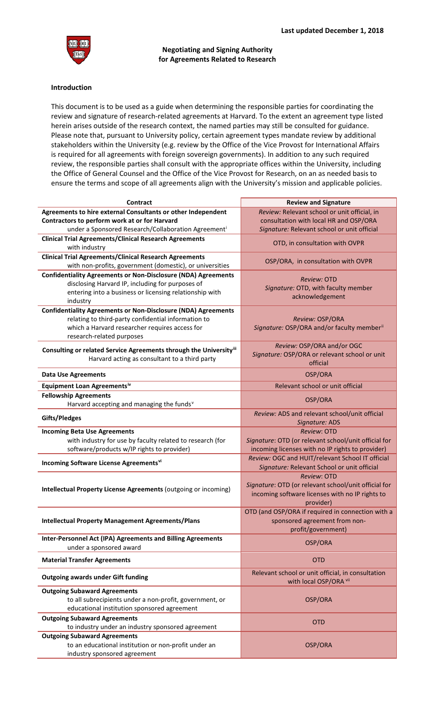

## **Negotiating and Signing Authority for Agreements Related to Research**

## **Introduction**

This document is to be used as a guide when determining the responsible parties for coordinating the review and signature of research-related agreements at Harvard. To the extent an agreement type listed herein arises outside of the research context, the named parties may still be consulted for guidance. Please note that, pursuant to University policy, certain agreement types mandate review by additional stakeholders within the University (e.g. review by the Office of the Vice Provost for International Affairs is required for all agreements with foreign sovereign governments). In addition to any such required review, the responsible parties shall consult with the appropriate offices within the University, including the Office of General Counsel and the Office of the Vice Provost for Research, on an as needed basis to ensure the terms and scope of all agreements align with the University's mission and applicable policies.

| Agreements to hire external Consultants or other Independent<br>Review: Relevant school or unit official, in<br>consultation with local HR and OSP/ORA<br>Contractors to perform work at or for Harvard<br>under a Sponsored Research/Collaboration Agreement <sup>i</sup><br>Signature: Relevant school or unit official<br><b>Clinical Trial Agreements/Clinical Research Agreements</b><br>OTD, in consultation with OVPR<br>with industry<br><b>Clinical Trial Agreements/Clinical Research Agreements</b><br>OSP/ORA, in consultation with OVPR<br>with non-profits, government (domestic), or universities<br><b>Confidentiality Agreements or Non-Disclosure (NDA) Agreements</b><br>Review: OTD<br>disclosing Harvard IP, including for purposes of<br>Signature: OTD, with faculty member<br>entering into a business or licensing relationship with<br>acknowledgement<br>industry<br><b>Confidentiality Agreements or Non-Disclosure (NDA) Agreements</b><br>relating to third-party confidential information to<br>Review: OSP/ORA<br>which a Harvard researcher requires access for<br>Signature: OSP/ORA and/or faculty member"<br>research-related purposes<br>Review: OSP/ORA and/or OGC<br>Consulting or related Service Agreements through the Universityill<br>Signature: OSP/ORA or relevant school or unit<br>Harvard acting as consultant to a third party<br>official<br>OSP/ORA<br><b>Data Use Agreements</b><br>Equipment Loan Agreementsiv<br>Relevant school or unit official<br><b>Fellowship Agreements</b><br>OSP/ORA<br>Harvard accepting and managing the funds <sup>v</sup><br>Review: ADS and relevant school/unit official<br>Gifts/Pledges<br>Signature: ADS<br><b>Review: OTD</b><br><b>Incoming Beta Use Agreements</b><br>Signature: OTD (or relevant school/unit official for<br>with industry for use by faculty related to research (for<br>software/products w/IP rights to provider)<br>incoming licenses with no IP rights to provider)<br>Review: OGC and HUIT/relevant School IT official<br>Incoming Software License Agreementsvi<br>Signature: Relevant School or unit official<br><b>Review: OTD</b><br>Signature: OTD (or relevant school/unit official for<br>Intellectual Property License Agreements (outgoing or incoming)<br>incoming software licenses with no IP rights to<br>provider)<br>OTD (and OSP/ORA if required in connection with a<br>sponsored agreement from non-<br><b>Intellectual Property Management Agreements/Plans</b><br>profit/government)<br>Inter-Personnel Act (IPA) Agreements and Billing Agreements<br>OSP/ORA<br>under a sponsored award<br><b>OTD</b><br><b>Material Transfer Agreements</b><br>Relevant school or unit official, in consultation | Contract                                  | <b>Review and Signature</b> |
|-------------------------------------------------------------------------------------------------------------------------------------------------------------------------------------------------------------------------------------------------------------------------------------------------------------------------------------------------------------------------------------------------------------------------------------------------------------------------------------------------------------------------------------------------------------------------------------------------------------------------------------------------------------------------------------------------------------------------------------------------------------------------------------------------------------------------------------------------------------------------------------------------------------------------------------------------------------------------------------------------------------------------------------------------------------------------------------------------------------------------------------------------------------------------------------------------------------------------------------------------------------------------------------------------------------------------------------------------------------------------------------------------------------------------------------------------------------------------------------------------------------------------------------------------------------------------------------------------------------------------------------------------------------------------------------------------------------------------------------------------------------------------------------------------------------------------------------------------------------------------------------------------------------------------------------------------------------------------------------------------------------------------------------------------------------------------------------------------------------------------------------------------------------------------------------------------------------------------------------------------------------------------------------------------------------------------------------------------------------------------------------------------------------------------------------------------------------------------------------------------------------------------------------------------------------------------------------------------------------------------------------------------------------------------------------------------------------------------------------------|-------------------------------------------|-----------------------------|
|                                                                                                                                                                                                                                                                                                                                                                                                                                                                                                                                                                                                                                                                                                                                                                                                                                                                                                                                                                                                                                                                                                                                                                                                                                                                                                                                                                                                                                                                                                                                                                                                                                                                                                                                                                                                                                                                                                                                                                                                                                                                                                                                                                                                                                                                                                                                                                                                                                                                                                                                                                                                                                                                                                                                           |                                           |                             |
|                                                                                                                                                                                                                                                                                                                                                                                                                                                                                                                                                                                                                                                                                                                                                                                                                                                                                                                                                                                                                                                                                                                                                                                                                                                                                                                                                                                                                                                                                                                                                                                                                                                                                                                                                                                                                                                                                                                                                                                                                                                                                                                                                                                                                                                                                                                                                                                                                                                                                                                                                                                                                                                                                                                                           |                                           |                             |
|                                                                                                                                                                                                                                                                                                                                                                                                                                                                                                                                                                                                                                                                                                                                                                                                                                                                                                                                                                                                                                                                                                                                                                                                                                                                                                                                                                                                                                                                                                                                                                                                                                                                                                                                                                                                                                                                                                                                                                                                                                                                                                                                                                                                                                                                                                                                                                                                                                                                                                                                                                                                                                                                                                                                           |                                           |                             |
|                                                                                                                                                                                                                                                                                                                                                                                                                                                                                                                                                                                                                                                                                                                                                                                                                                                                                                                                                                                                                                                                                                                                                                                                                                                                                                                                                                                                                                                                                                                                                                                                                                                                                                                                                                                                                                                                                                                                                                                                                                                                                                                                                                                                                                                                                                                                                                                                                                                                                                                                                                                                                                                                                                                                           |                                           |                             |
|                                                                                                                                                                                                                                                                                                                                                                                                                                                                                                                                                                                                                                                                                                                                                                                                                                                                                                                                                                                                                                                                                                                                                                                                                                                                                                                                                                                                                                                                                                                                                                                                                                                                                                                                                                                                                                                                                                                                                                                                                                                                                                                                                                                                                                                                                                                                                                                                                                                                                                                                                                                                                                                                                                                                           |                                           |                             |
|                                                                                                                                                                                                                                                                                                                                                                                                                                                                                                                                                                                                                                                                                                                                                                                                                                                                                                                                                                                                                                                                                                                                                                                                                                                                                                                                                                                                                                                                                                                                                                                                                                                                                                                                                                                                                                                                                                                                                                                                                                                                                                                                                                                                                                                                                                                                                                                                                                                                                                                                                                                                                                                                                                                                           |                                           |                             |
|                                                                                                                                                                                                                                                                                                                                                                                                                                                                                                                                                                                                                                                                                                                                                                                                                                                                                                                                                                                                                                                                                                                                                                                                                                                                                                                                                                                                                                                                                                                                                                                                                                                                                                                                                                                                                                                                                                                                                                                                                                                                                                                                                                                                                                                                                                                                                                                                                                                                                                                                                                                                                                                                                                                                           |                                           |                             |
|                                                                                                                                                                                                                                                                                                                                                                                                                                                                                                                                                                                                                                                                                                                                                                                                                                                                                                                                                                                                                                                                                                                                                                                                                                                                                                                                                                                                                                                                                                                                                                                                                                                                                                                                                                                                                                                                                                                                                                                                                                                                                                                                                                                                                                                                                                                                                                                                                                                                                                                                                                                                                                                                                                                                           |                                           |                             |
|                                                                                                                                                                                                                                                                                                                                                                                                                                                                                                                                                                                                                                                                                                                                                                                                                                                                                                                                                                                                                                                                                                                                                                                                                                                                                                                                                                                                                                                                                                                                                                                                                                                                                                                                                                                                                                                                                                                                                                                                                                                                                                                                                                                                                                                                                                                                                                                                                                                                                                                                                                                                                                                                                                                                           |                                           |                             |
|                                                                                                                                                                                                                                                                                                                                                                                                                                                                                                                                                                                                                                                                                                                                                                                                                                                                                                                                                                                                                                                                                                                                                                                                                                                                                                                                                                                                                                                                                                                                                                                                                                                                                                                                                                                                                                                                                                                                                                                                                                                                                                                                                                                                                                                                                                                                                                                                                                                                                                                                                                                                                                                                                                                                           |                                           |                             |
|                                                                                                                                                                                                                                                                                                                                                                                                                                                                                                                                                                                                                                                                                                                                                                                                                                                                                                                                                                                                                                                                                                                                                                                                                                                                                                                                                                                                                                                                                                                                                                                                                                                                                                                                                                                                                                                                                                                                                                                                                                                                                                                                                                                                                                                                                                                                                                                                                                                                                                                                                                                                                                                                                                                                           |                                           |                             |
|                                                                                                                                                                                                                                                                                                                                                                                                                                                                                                                                                                                                                                                                                                                                                                                                                                                                                                                                                                                                                                                                                                                                                                                                                                                                                                                                                                                                                                                                                                                                                                                                                                                                                                                                                                                                                                                                                                                                                                                                                                                                                                                                                                                                                                                                                                                                                                                                                                                                                                                                                                                                                                                                                                                                           |                                           |                             |
|                                                                                                                                                                                                                                                                                                                                                                                                                                                                                                                                                                                                                                                                                                                                                                                                                                                                                                                                                                                                                                                                                                                                                                                                                                                                                                                                                                                                                                                                                                                                                                                                                                                                                                                                                                                                                                                                                                                                                                                                                                                                                                                                                                                                                                                                                                                                                                                                                                                                                                                                                                                                                                                                                                                                           |                                           |                             |
|                                                                                                                                                                                                                                                                                                                                                                                                                                                                                                                                                                                                                                                                                                                                                                                                                                                                                                                                                                                                                                                                                                                                                                                                                                                                                                                                                                                                                                                                                                                                                                                                                                                                                                                                                                                                                                                                                                                                                                                                                                                                                                                                                                                                                                                                                                                                                                                                                                                                                                                                                                                                                                                                                                                                           |                                           |                             |
|                                                                                                                                                                                                                                                                                                                                                                                                                                                                                                                                                                                                                                                                                                                                                                                                                                                                                                                                                                                                                                                                                                                                                                                                                                                                                                                                                                                                                                                                                                                                                                                                                                                                                                                                                                                                                                                                                                                                                                                                                                                                                                                                                                                                                                                                                                                                                                                                                                                                                                                                                                                                                                                                                                                                           |                                           |                             |
|                                                                                                                                                                                                                                                                                                                                                                                                                                                                                                                                                                                                                                                                                                                                                                                                                                                                                                                                                                                                                                                                                                                                                                                                                                                                                                                                                                                                                                                                                                                                                                                                                                                                                                                                                                                                                                                                                                                                                                                                                                                                                                                                                                                                                                                                                                                                                                                                                                                                                                                                                                                                                                                                                                                                           |                                           |                             |
|                                                                                                                                                                                                                                                                                                                                                                                                                                                                                                                                                                                                                                                                                                                                                                                                                                                                                                                                                                                                                                                                                                                                                                                                                                                                                                                                                                                                                                                                                                                                                                                                                                                                                                                                                                                                                                                                                                                                                                                                                                                                                                                                                                                                                                                                                                                                                                                                                                                                                                                                                                                                                                                                                                                                           |                                           |                             |
|                                                                                                                                                                                                                                                                                                                                                                                                                                                                                                                                                                                                                                                                                                                                                                                                                                                                                                                                                                                                                                                                                                                                                                                                                                                                                                                                                                                                                                                                                                                                                                                                                                                                                                                                                                                                                                                                                                                                                                                                                                                                                                                                                                                                                                                                                                                                                                                                                                                                                                                                                                                                                                                                                                                                           |                                           |                             |
|                                                                                                                                                                                                                                                                                                                                                                                                                                                                                                                                                                                                                                                                                                                                                                                                                                                                                                                                                                                                                                                                                                                                                                                                                                                                                                                                                                                                                                                                                                                                                                                                                                                                                                                                                                                                                                                                                                                                                                                                                                                                                                                                                                                                                                                                                                                                                                                                                                                                                                                                                                                                                                                                                                                                           |                                           |                             |
|                                                                                                                                                                                                                                                                                                                                                                                                                                                                                                                                                                                                                                                                                                                                                                                                                                                                                                                                                                                                                                                                                                                                                                                                                                                                                                                                                                                                                                                                                                                                                                                                                                                                                                                                                                                                                                                                                                                                                                                                                                                                                                                                                                                                                                                                                                                                                                                                                                                                                                                                                                                                                                                                                                                                           |                                           |                             |
|                                                                                                                                                                                                                                                                                                                                                                                                                                                                                                                                                                                                                                                                                                                                                                                                                                                                                                                                                                                                                                                                                                                                                                                                                                                                                                                                                                                                                                                                                                                                                                                                                                                                                                                                                                                                                                                                                                                                                                                                                                                                                                                                                                                                                                                                                                                                                                                                                                                                                                                                                                                                                                                                                                                                           |                                           |                             |
|                                                                                                                                                                                                                                                                                                                                                                                                                                                                                                                                                                                                                                                                                                                                                                                                                                                                                                                                                                                                                                                                                                                                                                                                                                                                                                                                                                                                                                                                                                                                                                                                                                                                                                                                                                                                                                                                                                                                                                                                                                                                                                                                                                                                                                                                                                                                                                                                                                                                                                                                                                                                                                                                                                                                           |                                           |                             |
|                                                                                                                                                                                                                                                                                                                                                                                                                                                                                                                                                                                                                                                                                                                                                                                                                                                                                                                                                                                                                                                                                                                                                                                                                                                                                                                                                                                                                                                                                                                                                                                                                                                                                                                                                                                                                                                                                                                                                                                                                                                                                                                                                                                                                                                                                                                                                                                                                                                                                                                                                                                                                                                                                                                                           |                                           |                             |
|                                                                                                                                                                                                                                                                                                                                                                                                                                                                                                                                                                                                                                                                                                                                                                                                                                                                                                                                                                                                                                                                                                                                                                                                                                                                                                                                                                                                                                                                                                                                                                                                                                                                                                                                                                                                                                                                                                                                                                                                                                                                                                                                                                                                                                                                                                                                                                                                                                                                                                                                                                                                                                                                                                                                           |                                           |                             |
|                                                                                                                                                                                                                                                                                                                                                                                                                                                                                                                                                                                                                                                                                                                                                                                                                                                                                                                                                                                                                                                                                                                                                                                                                                                                                                                                                                                                                                                                                                                                                                                                                                                                                                                                                                                                                                                                                                                                                                                                                                                                                                                                                                                                                                                                                                                                                                                                                                                                                                                                                                                                                                                                                                                                           |                                           |                             |
|                                                                                                                                                                                                                                                                                                                                                                                                                                                                                                                                                                                                                                                                                                                                                                                                                                                                                                                                                                                                                                                                                                                                                                                                                                                                                                                                                                                                                                                                                                                                                                                                                                                                                                                                                                                                                                                                                                                                                                                                                                                                                                                                                                                                                                                                                                                                                                                                                                                                                                                                                                                                                                                                                                                                           |                                           |                             |
|                                                                                                                                                                                                                                                                                                                                                                                                                                                                                                                                                                                                                                                                                                                                                                                                                                                                                                                                                                                                                                                                                                                                                                                                                                                                                                                                                                                                                                                                                                                                                                                                                                                                                                                                                                                                                                                                                                                                                                                                                                                                                                                                                                                                                                                                                                                                                                                                                                                                                                                                                                                                                                                                                                                                           |                                           |                             |
|                                                                                                                                                                                                                                                                                                                                                                                                                                                                                                                                                                                                                                                                                                                                                                                                                                                                                                                                                                                                                                                                                                                                                                                                                                                                                                                                                                                                                                                                                                                                                                                                                                                                                                                                                                                                                                                                                                                                                                                                                                                                                                                                                                                                                                                                                                                                                                                                                                                                                                                                                                                                                                                                                                                                           |                                           |                             |
|                                                                                                                                                                                                                                                                                                                                                                                                                                                                                                                                                                                                                                                                                                                                                                                                                                                                                                                                                                                                                                                                                                                                                                                                                                                                                                                                                                                                                                                                                                                                                                                                                                                                                                                                                                                                                                                                                                                                                                                                                                                                                                                                                                                                                                                                                                                                                                                                                                                                                                                                                                                                                                                                                                                                           |                                           |                             |
|                                                                                                                                                                                                                                                                                                                                                                                                                                                                                                                                                                                                                                                                                                                                                                                                                                                                                                                                                                                                                                                                                                                                                                                                                                                                                                                                                                                                                                                                                                                                                                                                                                                                                                                                                                                                                                                                                                                                                                                                                                                                                                                                                                                                                                                                                                                                                                                                                                                                                                                                                                                                                                                                                                                                           |                                           |                             |
|                                                                                                                                                                                                                                                                                                                                                                                                                                                                                                                                                                                                                                                                                                                                                                                                                                                                                                                                                                                                                                                                                                                                                                                                                                                                                                                                                                                                                                                                                                                                                                                                                                                                                                                                                                                                                                                                                                                                                                                                                                                                                                                                                                                                                                                                                                                                                                                                                                                                                                                                                                                                                                                                                                                                           |                                           |                             |
|                                                                                                                                                                                                                                                                                                                                                                                                                                                                                                                                                                                                                                                                                                                                                                                                                                                                                                                                                                                                                                                                                                                                                                                                                                                                                                                                                                                                                                                                                                                                                                                                                                                                                                                                                                                                                                                                                                                                                                                                                                                                                                                                                                                                                                                                                                                                                                                                                                                                                                                                                                                                                                                                                                                                           |                                           |                             |
|                                                                                                                                                                                                                                                                                                                                                                                                                                                                                                                                                                                                                                                                                                                                                                                                                                                                                                                                                                                                                                                                                                                                                                                                                                                                                                                                                                                                                                                                                                                                                                                                                                                                                                                                                                                                                                                                                                                                                                                                                                                                                                                                                                                                                                                                                                                                                                                                                                                                                                                                                                                                                                                                                                                                           |                                           |                             |
|                                                                                                                                                                                                                                                                                                                                                                                                                                                                                                                                                                                                                                                                                                                                                                                                                                                                                                                                                                                                                                                                                                                                                                                                                                                                                                                                                                                                                                                                                                                                                                                                                                                                                                                                                                                                                                                                                                                                                                                                                                                                                                                                                                                                                                                                                                                                                                                                                                                                                                                                                                                                                                                                                                                                           |                                           |                             |
|                                                                                                                                                                                                                                                                                                                                                                                                                                                                                                                                                                                                                                                                                                                                                                                                                                                                                                                                                                                                                                                                                                                                                                                                                                                                                                                                                                                                                                                                                                                                                                                                                                                                                                                                                                                                                                                                                                                                                                                                                                                                                                                                                                                                                                                                                                                                                                                                                                                                                                                                                                                                                                                                                                                                           |                                           |                             |
|                                                                                                                                                                                                                                                                                                                                                                                                                                                                                                                                                                                                                                                                                                                                                                                                                                                                                                                                                                                                                                                                                                                                                                                                                                                                                                                                                                                                                                                                                                                                                                                                                                                                                                                                                                                                                                                                                                                                                                                                                                                                                                                                                                                                                                                                                                                                                                                                                                                                                                                                                                                                                                                                                                                                           |                                           |                             |
|                                                                                                                                                                                                                                                                                                                                                                                                                                                                                                                                                                                                                                                                                                                                                                                                                                                                                                                                                                                                                                                                                                                                                                                                                                                                                                                                                                                                                                                                                                                                                                                                                                                                                                                                                                                                                                                                                                                                                                                                                                                                                                                                                                                                                                                                                                                                                                                                                                                                                                                                                                                                                                                                                                                                           |                                           |                             |
|                                                                                                                                                                                                                                                                                                                                                                                                                                                                                                                                                                                                                                                                                                                                                                                                                                                                                                                                                                                                                                                                                                                                                                                                                                                                                                                                                                                                                                                                                                                                                                                                                                                                                                                                                                                                                                                                                                                                                                                                                                                                                                                                                                                                                                                                                                                                                                                                                                                                                                                                                                                                                                                                                                                                           |                                           |                             |
| with local OSP/ORA vii                                                                                                                                                                                                                                                                                                                                                                                                                                                                                                                                                                                                                                                                                                                                                                                                                                                                                                                                                                                                                                                                                                                                                                                                                                                                                                                                                                                                                                                                                                                                                                                                                                                                                                                                                                                                                                                                                                                                                                                                                                                                                                                                                                                                                                                                                                                                                                                                                                                                                                                                                                                                                                                                                                                    | <b>Outgoing awards under Gift funding</b> |                             |
| <b>Outgoing Subaward Agreements</b>                                                                                                                                                                                                                                                                                                                                                                                                                                                                                                                                                                                                                                                                                                                                                                                                                                                                                                                                                                                                                                                                                                                                                                                                                                                                                                                                                                                                                                                                                                                                                                                                                                                                                                                                                                                                                                                                                                                                                                                                                                                                                                                                                                                                                                                                                                                                                                                                                                                                                                                                                                                                                                                                                                       |                                           |                             |
| to all subrecipients under a non-profit, government, or<br>OSP/ORA                                                                                                                                                                                                                                                                                                                                                                                                                                                                                                                                                                                                                                                                                                                                                                                                                                                                                                                                                                                                                                                                                                                                                                                                                                                                                                                                                                                                                                                                                                                                                                                                                                                                                                                                                                                                                                                                                                                                                                                                                                                                                                                                                                                                                                                                                                                                                                                                                                                                                                                                                                                                                                                                        |                                           |                             |
| educational institution sponsored agreement                                                                                                                                                                                                                                                                                                                                                                                                                                                                                                                                                                                                                                                                                                                                                                                                                                                                                                                                                                                                                                                                                                                                                                                                                                                                                                                                                                                                                                                                                                                                                                                                                                                                                                                                                                                                                                                                                                                                                                                                                                                                                                                                                                                                                                                                                                                                                                                                                                                                                                                                                                                                                                                                                               |                                           |                             |
| <b>Outgoing Subaward Agreements</b>                                                                                                                                                                                                                                                                                                                                                                                                                                                                                                                                                                                                                                                                                                                                                                                                                                                                                                                                                                                                                                                                                                                                                                                                                                                                                                                                                                                                                                                                                                                                                                                                                                                                                                                                                                                                                                                                                                                                                                                                                                                                                                                                                                                                                                                                                                                                                                                                                                                                                                                                                                                                                                                                                                       |                                           |                             |
| <b>OTD</b><br>to industry under an industry sponsored agreement                                                                                                                                                                                                                                                                                                                                                                                                                                                                                                                                                                                                                                                                                                                                                                                                                                                                                                                                                                                                                                                                                                                                                                                                                                                                                                                                                                                                                                                                                                                                                                                                                                                                                                                                                                                                                                                                                                                                                                                                                                                                                                                                                                                                                                                                                                                                                                                                                                                                                                                                                                                                                                                                           |                                           |                             |
| <b>Outgoing Subaward Agreements</b>                                                                                                                                                                                                                                                                                                                                                                                                                                                                                                                                                                                                                                                                                                                                                                                                                                                                                                                                                                                                                                                                                                                                                                                                                                                                                                                                                                                                                                                                                                                                                                                                                                                                                                                                                                                                                                                                                                                                                                                                                                                                                                                                                                                                                                                                                                                                                                                                                                                                                                                                                                                                                                                                                                       |                                           |                             |
| to an educational institution or non-profit under an<br>OSP/ORA                                                                                                                                                                                                                                                                                                                                                                                                                                                                                                                                                                                                                                                                                                                                                                                                                                                                                                                                                                                                                                                                                                                                                                                                                                                                                                                                                                                                                                                                                                                                                                                                                                                                                                                                                                                                                                                                                                                                                                                                                                                                                                                                                                                                                                                                                                                                                                                                                                                                                                                                                                                                                                                                           |                                           |                             |
| industry sponsored agreement                                                                                                                                                                                                                                                                                                                                                                                                                                                                                                                                                                                                                                                                                                                                                                                                                                                                                                                                                                                                                                                                                                                                                                                                                                                                                                                                                                                                                                                                                                                                                                                                                                                                                                                                                                                                                                                                                                                                                                                                                                                                                                                                                                                                                                                                                                                                                                                                                                                                                                                                                                                                                                                                                                              |                                           |                             |